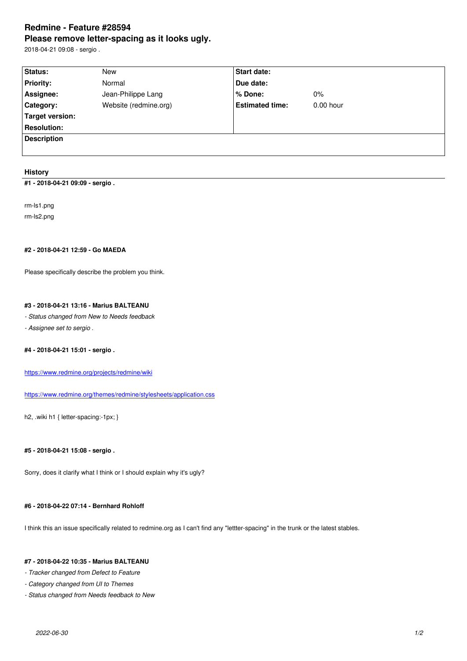#### **Please remove letter-spacing as it looks ugly.**

2018-04-21 09:08 - sergio .

| Status:            | New                   | Start date:            |             |
|--------------------|-----------------------|------------------------|-------------|
| <b>Priority:</b>   | Normal                | Due date:              |             |
| Assignee:          | Jean-Philippe Lang    | $%$ Done:              | $0\%$       |
| Category:          | Website (redmine.org) | <b>Estimated time:</b> | $0.00$ hour |
| Target version:    |                       |                        |             |
| <b>Resolution:</b> |                       |                        |             |
| <b>Description</b> |                       |                        |             |
|                    |                       |                        |             |

## **History**

**#1 - 2018-04-21 09:09 - sergio .**

rm-ls1.png rm-ls2.png

# **#2 - 2018-04-21 12:59 - Go MAEDA**

Please specifically describe the problem you think.

# **#3 - 2018-04-21 13:16 - Marius BALTEANU**

*- Status changed from New to Needs feedback*

*- Assignee set to sergio .*

## **#4 - 2018-04-21 15:01 - sergio .**

https://www.redmine.org/projects/redmine/wiki

https://www.redmine.org/themes/redmine/stylesheets/application.css

[h2, .wiki h1 { letter-spacing:-1px; }](https://www.redmine.org/projects/redmine/wiki)

# **#5 - 2018-04-21 15:08 - sergio .**

Sorry, does it clarify what I think or I should explain why it's ugly?

# **#6 - 2018-04-22 07:14 - Bernhard Rohloff**

I think this an issue specifically related to redmine.org as I can't find any "lettter-spacing" in the trunk or the latest stables.

# **#7 - 2018-04-22 10:35 - Marius BALTEANU**

*- Tracker changed from Defect to Feature*

- *Category changed from UI to Themes*
- *Status changed from Needs feedback to New*